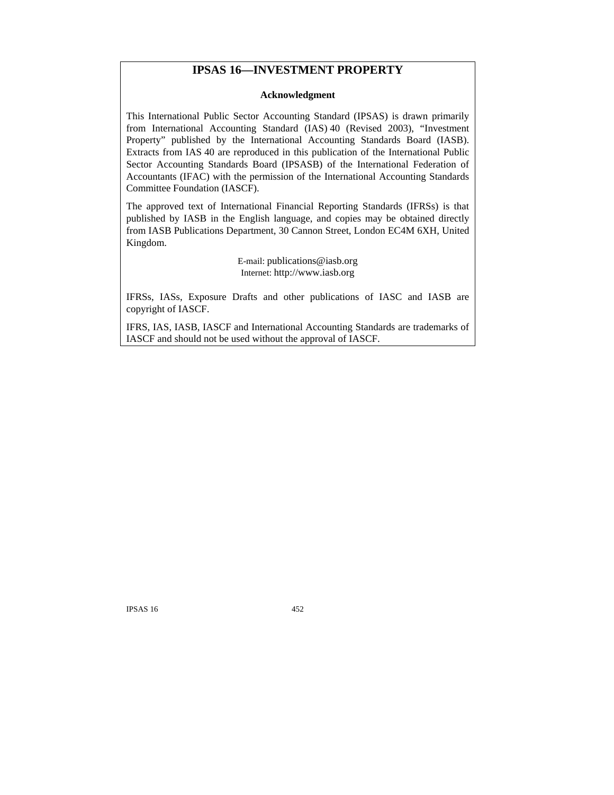## **IPSAS 16—INVESTMENT PROPERTY**

#### **Acknowledgment**

This International Public Sector Accounting Standard (IPSAS) is drawn primarily from International Accounting Standard (IAS) 40 (Revised 2003), "Investment Property" published by the International Accounting Standards Board (IASB). Extracts from IAS 40 are reproduced in this publication of the International Public Sector Accounting Standards Board (IPSASB) of the International Federation of Accountants (IFAC) with the permission of the International Accounting Standards Committee Foundation (IASCF).

The approved text of International Financial Reporting Standards (IFRSs) is that published by IASB in the English language, and copies may be obtained directly from IASB Publications Department, 30 Cannon Street, London EC4M 6XH, United Kingdom.

> E-mail: publications@iasb.org Internet: http://www.iasb.org

IFRSs, IASs, Exposure Drafts and other publications of IASC and IASB are copyright of IASCF.

IFRS, IAS, IASB, IASCF and International Accounting Standards are trademarks of IASCF and should not be used without the approval of IASCF.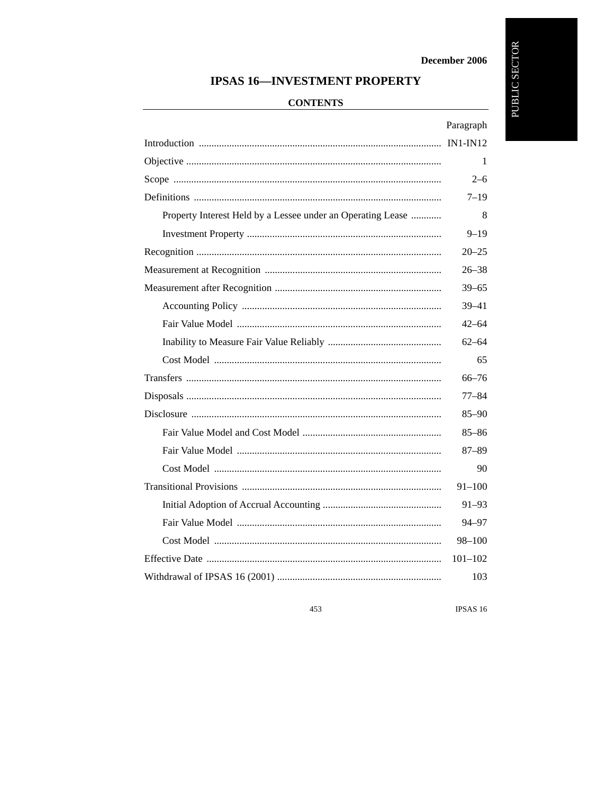### December 2006

# **IPSAS 16-INVESTMENT PROPERTY**

# **CONTENTS**

|                                                             | Paragraph      |
|-------------------------------------------------------------|----------------|
|                                                             | $IN1$ - $IN12$ |
|                                                             | 1              |
|                                                             | $2 - 6$        |
|                                                             | $7 - 19$       |
| Property Interest Held by a Lessee under an Operating Lease | 8              |
|                                                             | $9 - 19$       |
|                                                             | $20 - 25$      |
|                                                             | $26 - 38$      |
|                                                             | $39 - 65$      |
|                                                             | $39 - 41$      |
|                                                             | 42–64          |
|                                                             | $62 - 64$      |
|                                                             | 65             |
|                                                             | $66 - 76$      |
|                                                             | $77 - 84$      |
|                                                             | $85 - 90$      |
|                                                             | 85–86          |
|                                                             | $87 - 89$      |
|                                                             | 90             |
|                                                             | $91 - 100$     |
|                                                             | $91 - 93$      |
|                                                             | 94-97          |
|                                                             | $98 - 100$     |
|                                                             | $101 - 102$    |
|                                                             | 103            |
|                                                             |                |

453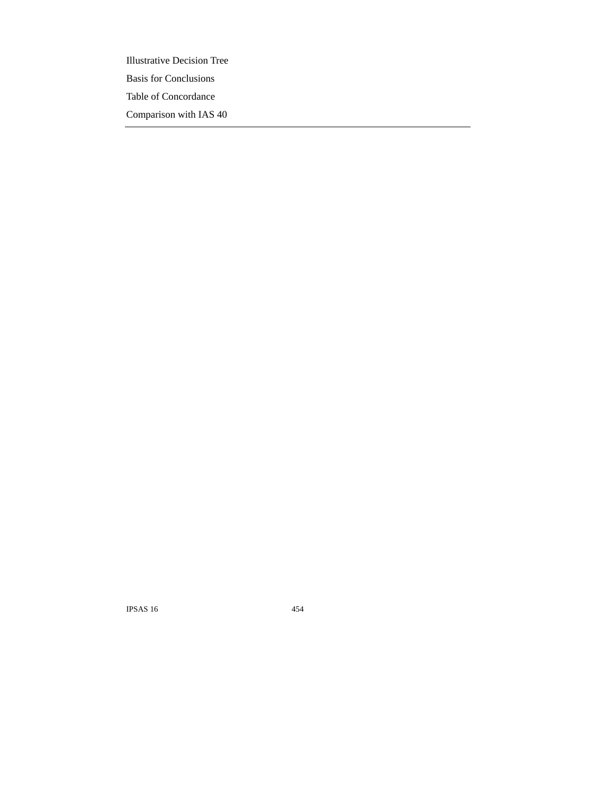Illustrative Decision Tree Basis for Conclusions Table of Concordance Comparison with IAS 40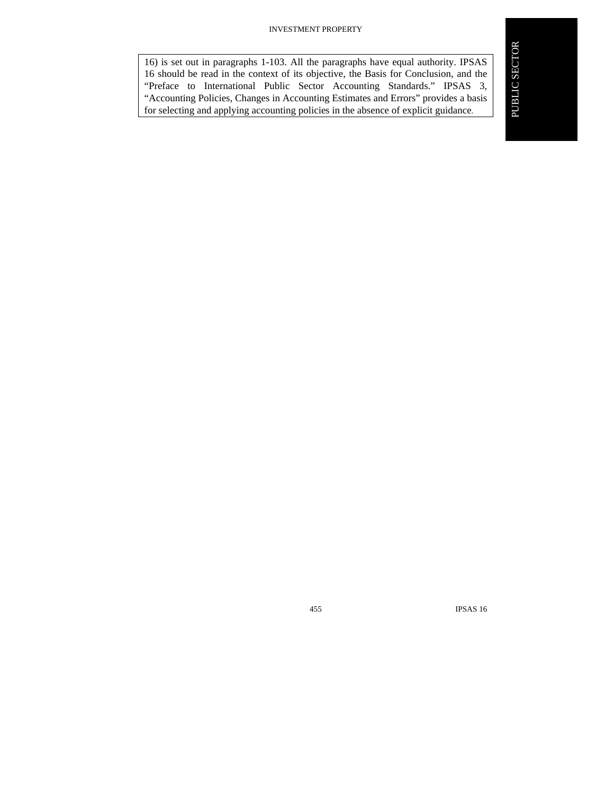16) is set out in paragraphs 1-103. All the paragraphs have equal authority. IPSAS 16 should be read in the context of its objective, the Basis for Conclusion, and the "Preface to International Public Sector Accounting Standards." IPSAS 3, "Accounting Policies, Changes in Accounting Estimates and Errors" provides a basis for selecting and applying accounting policies in the absence of explicit guidance.

PUBLIC SECTOR PUBLIC SECTOR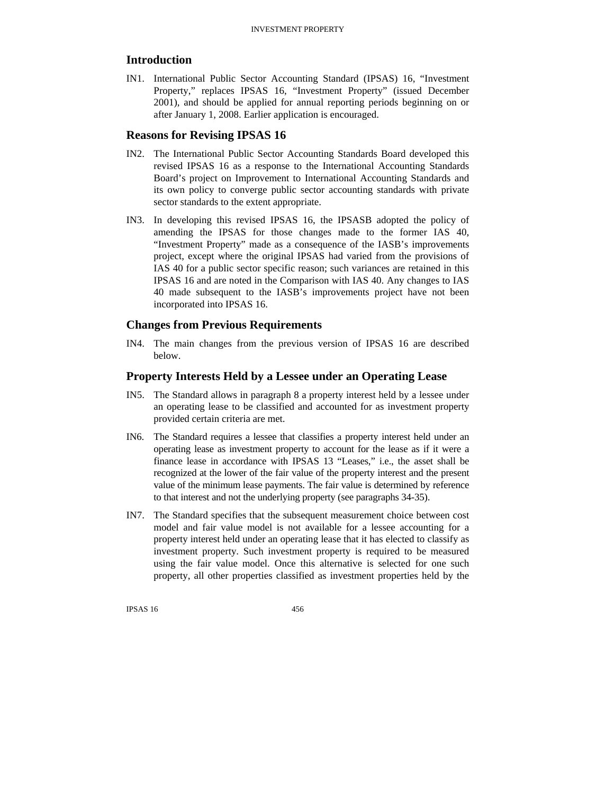### **Introduction**

IN1. International Public Sector Accounting Standard (IPSAS) 16, "Investment Property," replaces IPSAS 16, "Investment Property" (issued December 2001), and should be applied for annual reporting periods beginning on or after January 1, 2008. Earlier application is encouraged.

### **Reasons for Revising IPSAS 16**

- IN2. The International Public Sector Accounting Standards Board developed this revised IPSAS 16 as a response to the International Accounting Standards Board's project on Improvement to International Accounting Standards and its own policy to converge public sector accounting standards with private sector standards to the extent appropriate.
- IN3. In developing this revised IPSAS 16, the IPSASB adopted the policy of amending the IPSAS for those changes made to the former IAS 40, "Investment Property" made as a consequence of the IASB's improvements project, except where the original IPSAS had varied from the provisions of IAS 40 for a public sector specific reason; such variances are retained in this IPSAS 16 and are noted in the Comparison with IAS 40. Any changes to IAS 40 made subsequent to the IASB's improvements project have not been incorporated into IPSAS 16.

### **Changes from Previous Requirements**

IN4. The main changes from the previous version of IPSAS 16 are described below.

### **Property Interests Held by a Lessee under an Operating Lease**

- IN5. The Standard allows in paragraph 8 a property interest held by a lessee under an operating lease to be classified and accounted for as investment property provided certain criteria are met.
- IN6. The Standard requires a lessee that classifies a property interest held under an operating lease as investment property to account for the lease as if it were a finance lease in accordance with IPSAS 13 "Leases," i.e., the asset shall be recognized at the lower of the fair value of the property interest and the present value of the minimum lease payments. The fair value is determined by reference to that interest and not the underlying property (see paragraphs 34-35).
- IN7. The Standard specifies that the subsequent measurement choice between cost model and fair value model is not available for a lessee accounting for a property interest held under an operating lease that it has elected to classify as investment property. Such investment property is required to be measured using the fair value model. Once this alternative is selected for one such property, all other properties classified as investment properties held by the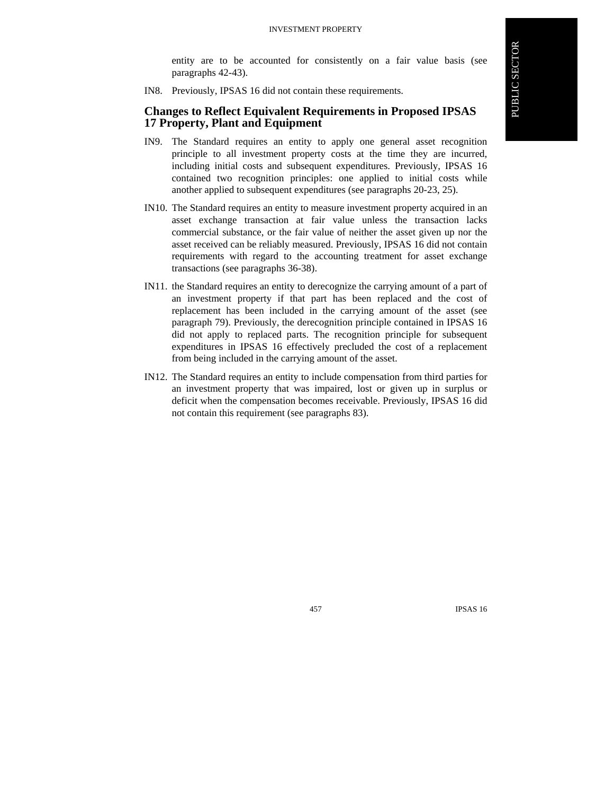entity are to be accounted for consistently on a fair value basis (see paragraphs 42-43).

IN8. Previously, IPSAS 16 did not contain these requirements.

### **Changes to Reflect Equivalent Requirements in Proposed IPSAS 17 Property, Plant and Equipment**

- IN9. The Standard requires an entity to apply one general asset recognition principle to all investment property costs at the time they are incurred, including initial costs and subsequent expenditures. Previously, IPSAS 16 contained two recognition principles: one applied to initial costs while another applied to subsequent expenditures (see paragraphs 20-23, 25).
- IN10. The Standard requires an entity to measure investment property acquired in an asset exchange transaction at fair value unless the transaction lacks commercial substance, or the fair value of neither the asset given up nor the asset received can be reliably measured. Previously, IPSAS 16 did not contain requirements with regard to the accounting treatment for asset exchange transactions (see paragraphs 36-38).
- IN11. the Standard requires an entity to derecognize the carrying amount of a part of an investment property if that part has been replaced and the cost of replacement has been included in the carrying amount of the asset (see paragraph 79). Previously, the derecognition principle contained in IPSAS 16 did not apply to replaced parts. The recognition principle for subsequent expenditures in IPSAS 16 effectively precluded the cost of a replacement from being included in the carrying amount of the asset.
- IN12. The Standard requires an entity to include compensation from third parties for an investment property that was impaired, lost or given up in surplus or deficit when the compensation becomes receivable. Previously, IPSAS 16 did not contain this requirement (see paragraphs 83).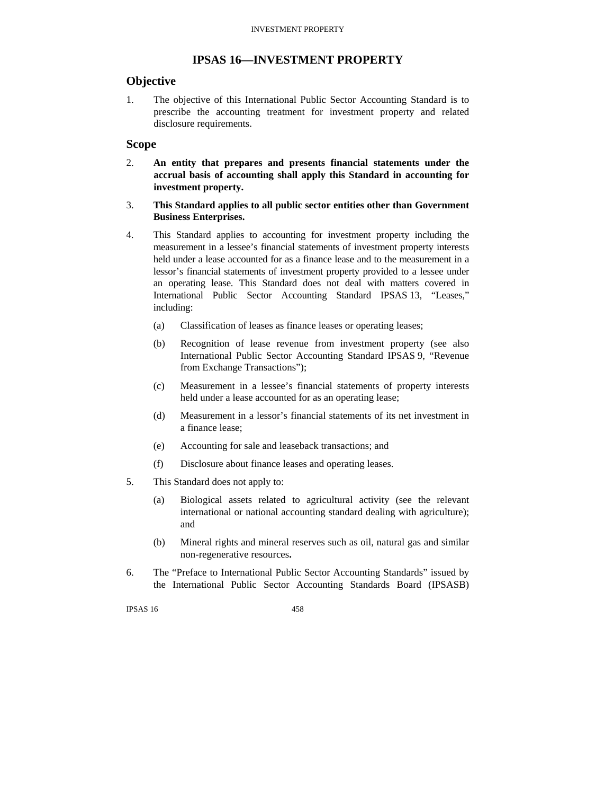## **IPSAS 16—INVESTMENT PROPERTY**

## **Objective**

1. The objective of this International Public Sector Accounting Standard is to prescribe the accounting treatment for investment property and related disclosure requirements.

### **Scope**

- 2. **An entity that prepares and presents financial statements under the accrual basis of accounting shall apply this Standard in accounting for investment property.**
- 3. **This Standard applies to all public sector entities other than Government Business Enterprises.**
- 4. This Standard applies to accounting for investment property including the measurement in a lessee's financial statements of investment property interests held under a lease accounted for as a finance lease and to the measurement in a lessor's financial statements of investment property provided to a lessee under an operating lease. This Standard does not deal with matters covered in International Public Sector Accounting Standard IPSAS 13, "Leases," including:
	- (a) Classification of leases as finance leases or operating leases;
	- (b) Recognition of lease revenue from investment property (see also International Public Sector Accounting Standard IPSAS 9, "Revenue from Exchange Transactions");
	- (c) Measurement in a lessee's financial statements of property interests held under a lease accounted for as an operating lease;
	- (d) Measurement in a lessor's financial statements of its net investment in a finance lease;
	- (e) Accounting for sale and leaseback transactions; and
	- (f) Disclosure about finance leases and operating leases.
- 5. This Standard does not apply to:
	- (a) Biological assets related to agricultural activity (see the relevant international or national accounting standard dealing with agriculture); and
	- (b) Mineral rights and mineral reserves such as oil, natural gas and similar non-regenerative resources**.**
- 6. The "Preface to International Public Sector Accounting Standards" issued by the International Public Sector Accounting Standards Board (IPSASB)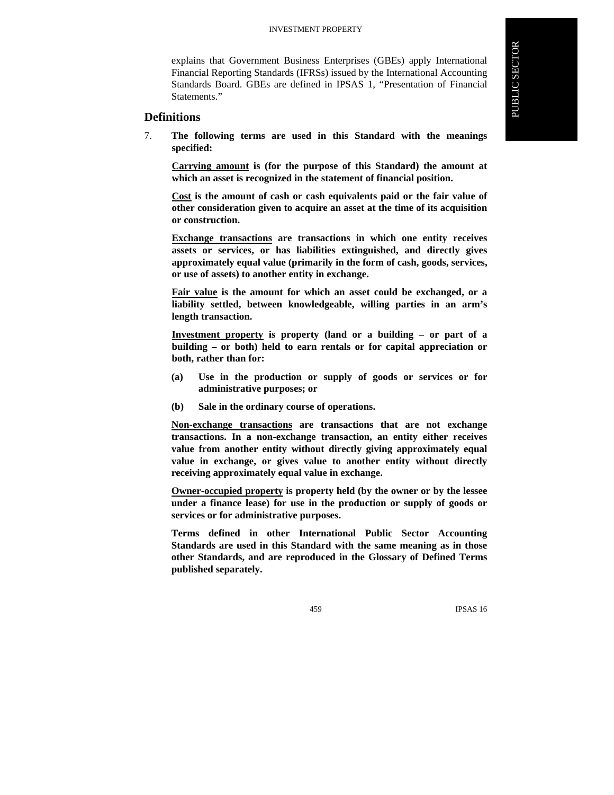explains that Government Business Enterprises (GBEs) apply International Financial Reporting Standards (IFRSs) issued by the International Accounting Standards Board. GBEs are defined in IPSAS 1, "Presentation of Financial Statements."

### **Definitions**

7. **The following terms are used in this Standard with the meanings specified:** 

**Carrying amount is (for the purpose of this Standard) the amount at which an asset is recognized in the statement of financial position.** 

**Cost is the amount of cash or cash equivalents paid or the fair value of other consideration given to acquire an asset at the time of its acquisition or construction.** 

**Exchange transactions are transactions in which one entity receives assets or services, or has liabilities extinguished, and directly gives approximately equal value (primarily in the form of cash, goods, services, or use of assets) to another entity in exchange.** 

**Fair value is the amount for which an asset could be exchanged, or a liability settled, between knowledgeable, willing parties in an arm's length transaction.** 

**Investment property is property (land or a building – or part of a building – or both) held to earn rentals or for capital appreciation or both, rather than for:** 

- **(a) Use in the production or supply of goods or services or for administrative purposes; or**
- **(b) Sale in the ordinary course of operations.**

**Non-exchange transactions are transactions that are not exchange transactions. In a non-exchange transaction, an entity either receives value from another entity without directly giving approximately equal value in exchange, or gives value to another entity without directly receiving approximately equal value in exchange.** 

**Owner-occupied property is property held (by the owner or by the lessee under a finance lease) for use in the production or supply of goods or services or for administrative purposes.** 

**Terms defined in other International Public Sector Accounting Standards are used in this Standard with the same meaning as in those other Standards, and are reproduced in the Glossary of Defined Terms published separately.**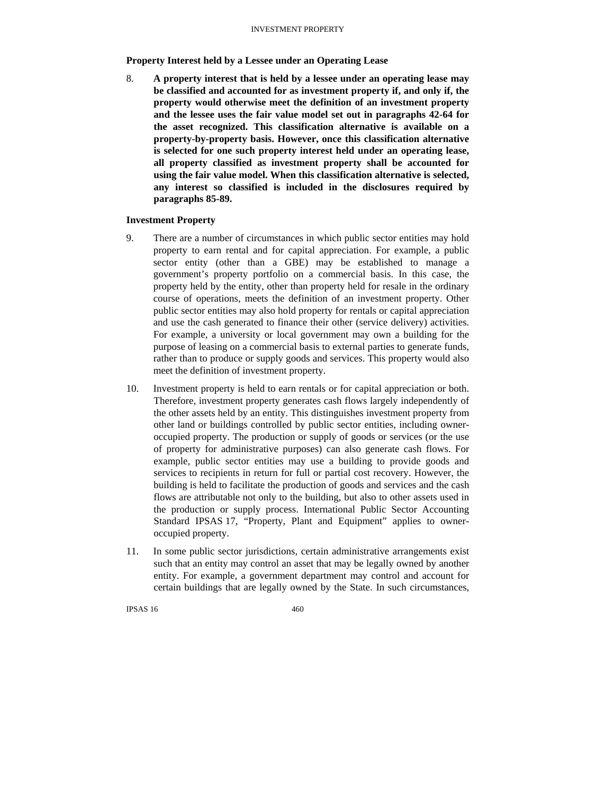**Property Interest held by a Lessee under an Operating Lease** 

8. **A property interest that is held by a lessee under an operating lease may be classified and accounted for as investment property if, and only if, the property would otherwise meet the definition of an investment property and the lessee uses the fair value model set out in paragraphs 42-64 for the asset recognized. This classification alternative is available on a property-by-property basis. However, once this classification alternative is selected for one such property interest held under an operating lease, all property classified as investment property shall be accounted for using the fair value model. When this classification alternative is selected, any interest so classified is included in the disclosures required by paragraphs 85-89.** 

#### **Investment Property**

- 9. There are a number of circumstances in which public sector entities may hold property to earn rental and for capital appreciation. For example, a public sector entity (other than a GBE) may be established to manage a government's property portfolio on a commercial basis. In this case, the property held by the entity, other than property held for resale in the ordinary course of operations, meets the definition of an investment property. Other public sector entities may also hold property for rentals or capital appreciation and use the cash generated to finance their other (service delivery) activities. For example, a university or local government may own a building for the purpose of leasing on a commercial basis to external parties to generate funds, rather than to produce or supply goods and services. This property would also meet the definition of investment property.
- 10. Investment property is held to earn rentals or for capital appreciation or both. Therefore, investment property generates cash flows largely independently of the other assets held by an entity. This distinguishes investment property from other land or buildings controlled by public sector entities, including owneroccupied property. The production or supply of goods or services (or the use of property for administrative purposes) can also generate cash flows. For example, public sector entities may use a building to provide goods and services to recipients in return for full or partial cost recovery. However, the building is held to facilitate the production of goods and services and the cash flows are attributable not only to the building, but also to other assets used in the production or supply process. International Public Sector Accounting Standard IPSAS 17, "Property, Plant and Equipment" applies to owneroccupied property.
- 11. In some public sector jurisdictions, certain administrative arrangements exist such that an entity may control an asset that may be legally owned by another entity. For example, a government department may control and account for certain buildings that are legally owned by the State. In such circumstances,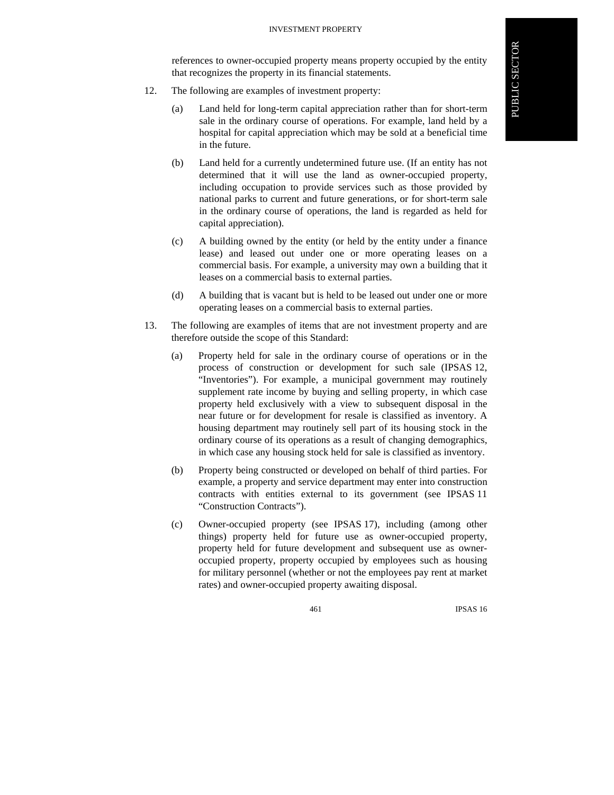references to owner-occupied property means property occupied by the entity that recognizes the property in its financial statements.

- 12. The following are examples of investment property:
	- (a) Land held for long-term capital appreciation rather than for short-term sale in the ordinary course of operations. For example, land held by a hospital for capital appreciation which may be sold at a beneficial time in the future.
	- (b) Land held for a currently undetermined future use. (If an entity has not determined that it will use the land as owner-occupied property, including occupation to provide services such as those provided by national parks to current and future generations, or for short-term sale in the ordinary course of operations, the land is regarded as held for capital appreciation).
	- (c) A building owned by the entity (or held by the entity under a finance lease) and leased out under one or more operating leases on a commercial basis. For example, a university may own a building that it leases on a commercial basis to external parties.
	- (d) A building that is vacant but is held to be leased out under one or more operating leases on a commercial basis to external parties.
- 13. The following are examples of items that are not investment property and are therefore outside the scope of this Standard:
	- (a) Property held for sale in the ordinary course of operations or in the process of construction or development for such sale (IPSAS 12, "Inventories"). For example, a municipal government may routinely supplement rate income by buying and selling property, in which case property held exclusively with a view to subsequent disposal in the near future or for development for resale is classified as inventory. A housing department may routinely sell part of its housing stock in the ordinary course of its operations as a result of changing demographics, in which case any housing stock held for sale is classified as inventory.
	- (b) Property being constructed or developed on behalf of third parties. For example, a property and service department may enter into construction contracts with entities external to its government (see IPSAS 11 "Construction Contracts").
	- (c) Owner-occupied property (see IPSAS 17), including (among other things) property held for future use as owner-occupied property, property held for future development and subsequent use as owneroccupied property, property occupied by employees such as housing for military personnel (whether or not the employees pay rent at market rates) and owner-occupied property awaiting disposal.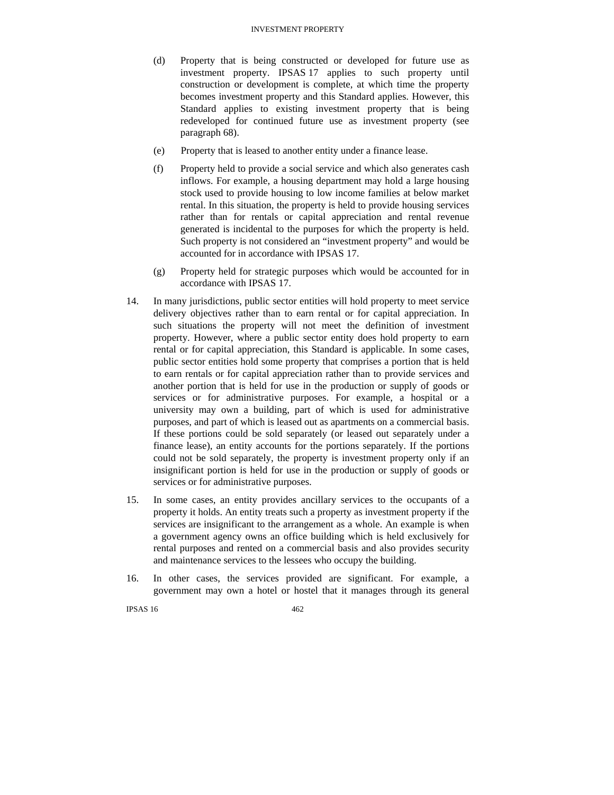- (d) Property that is being constructed or developed for future use as investment property. IPSAS 17 applies to such property until construction or development is complete, at which time the property becomes investment property and this Standard applies. However, this Standard applies to existing investment property that is being redeveloped for continued future use as investment property (see paragraph 68).
- (e) Property that is leased to another entity under a finance lease.
- (f) Property held to provide a social service and which also generates cash inflows. For example, a housing department may hold a large housing stock used to provide housing to low income families at below market rental. In this situation, the property is held to provide housing services rather than for rentals or capital appreciation and rental revenue generated is incidental to the purposes for which the property is held. Such property is not considered an "investment property" and would be accounted for in accordance with IPSAS 17.
- (g) Property held for strategic purposes which would be accounted for in accordance with IPSAS 17.
- 14. In many jurisdictions, public sector entities will hold property to meet service delivery objectives rather than to earn rental or for capital appreciation. In such situations the property will not meet the definition of investment property. However, where a public sector entity does hold property to earn rental or for capital appreciation, this Standard is applicable. In some cases, public sector entities hold some property that comprises a portion that is held to earn rentals or for capital appreciation rather than to provide services and another portion that is held for use in the production or supply of goods or services or for administrative purposes. For example, a hospital or a university may own a building, part of which is used for administrative purposes, and part of which is leased out as apartments on a commercial basis. If these portions could be sold separately (or leased out separately under a finance lease), an entity accounts for the portions separately. If the portions could not be sold separately, the property is investment property only if an insignificant portion is held for use in the production or supply of goods or services or for administrative purposes.
- 15. In some cases, an entity provides ancillary services to the occupants of a property it holds. An entity treats such a property as investment property if the services are insignificant to the arrangement as a whole. An example is when a government agency owns an office building which is held exclusively for rental purposes and rented on a commercial basis and also provides security and maintenance services to the lessees who occupy the building.
- 16. In other cases, the services provided are significant. For example, a government may own a hotel or hostel that it manages through its general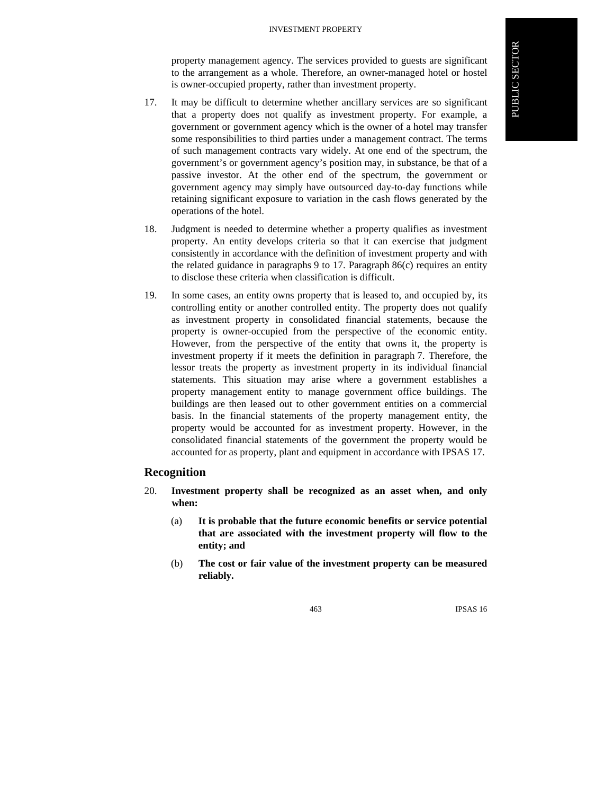property management agency. The services provided to guests are significant to the arrangement as a whole. Therefore, an owner-managed hotel or hostel is owner-occupied property, rather than investment property.

- 17. It may be difficult to determine whether ancillary services are so significant that a property does not qualify as investment property. For example, a government or government agency which is the owner of a hotel may transfer some responsibilities to third parties under a management contract. The terms of such management contracts vary widely. At one end of the spectrum, the government's or government agency's position may, in substance, be that of a passive investor. At the other end of the spectrum, the government or government agency may simply have outsourced day-to-day functions while retaining significant exposure to variation in the cash flows generated by the operations of the hotel.
- 18. Judgment is needed to determine whether a property qualifies as investment property. An entity develops criteria so that it can exercise that judgment consistently in accordance with the definition of investment property and with the related guidance in paragraphs 9 to 17. Paragraph 86(c) requires an entity to disclose these criteria when classification is difficult.
- 19. In some cases, an entity owns property that is leased to, and occupied by, its controlling entity or another controlled entity. The property does not qualify as investment property in consolidated financial statements, because the property is owner-occupied from the perspective of the economic entity. However, from the perspective of the entity that owns it, the property is investment property if it meets the definition in paragraph 7. Therefore, the lessor treats the property as investment property in its individual financial statements. This situation may arise where a government establishes a property management entity to manage government office buildings. The buildings are then leased out to other government entities on a commercial basis. In the financial statements of the property management entity, the property would be accounted for as investment property. However, in the consolidated financial statements of the government the property would be accounted for as property, plant and equipment in accordance with IPSAS 17.

### **Recognition**

- 20. **Investment property shall be recognized as an asset when, and only when:** 
	- (a) **It is probable that the future economic benefits or service potential that are associated with the investment property will flow to the entity; and**
	- (b) **The cost or fair value of the investment property can be measured reliably.**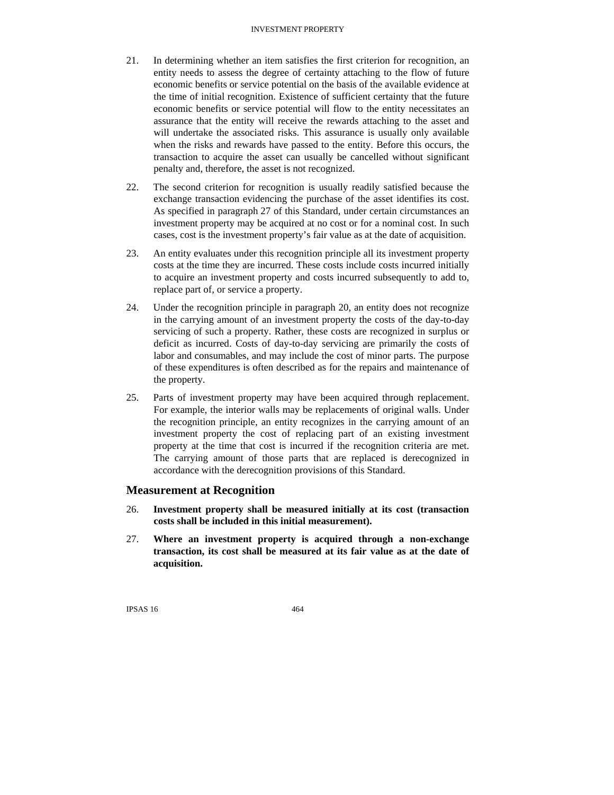#### INVESTMENT PROPERTY

- 21. In determining whether an item satisfies the first criterion for recognition, an entity needs to assess the degree of certainty attaching to the flow of future economic benefits or service potential on the basis of the available evidence at the time of initial recognition. Existence of sufficient certainty that the future economic benefits or service potential will flow to the entity necessitates an assurance that the entity will receive the rewards attaching to the asset and will undertake the associated risks. This assurance is usually only available when the risks and rewards have passed to the entity. Before this occurs, the transaction to acquire the asset can usually be cancelled without significant penalty and, therefore, the asset is not recognized.
- 22. The second criterion for recognition is usually readily satisfied because the exchange transaction evidencing the purchase of the asset identifies its cost. As specified in paragraph 27 of this Standard, under certain circumstances an investment property may be acquired at no cost or for a nominal cost. In such cases, cost is the investment property's fair value as at the date of acquisition.
- 23. An entity evaluates under this recognition principle all its investment property costs at the time they are incurred. These costs include costs incurred initially to acquire an investment property and costs incurred subsequently to add to, replace part of, or service a property.
- 24. Under the recognition principle in paragraph 20, an entity does not recognize in the carrying amount of an investment property the costs of the day-to-day servicing of such a property. Rather, these costs are recognized in surplus or deficit as incurred. Costs of day-to-day servicing are primarily the costs of labor and consumables, and may include the cost of minor parts. The purpose of these expenditures is often described as for the repairs and maintenance of the property.
- 25. Parts of investment property may have been acquired through replacement. For example, the interior walls may be replacements of original walls. Under the recognition principle, an entity recognizes in the carrying amount of an investment property the cost of replacing part of an existing investment property at the time that cost is incurred if the recognition criteria are met. The carrying amount of those parts that are replaced is derecognized in accordance with the derecognition provisions of this Standard.

#### **Measurement at Recognition**

- 26. **Investment property shall be measured initially at its cost (transaction costs shall be included in this initial measurement).**
- 27. **Where an investment property is acquired through a non-exchange transaction, its cost shall be measured at its fair value as at the date of acquisition.**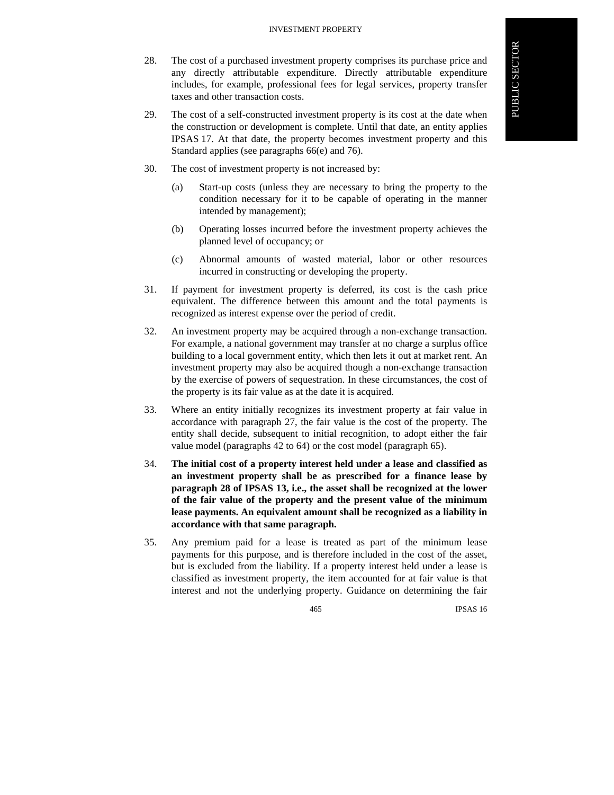- 28. The cost of a purchased investment property comprises its purchase price and any directly attributable expenditure. Directly attributable expenditure includes, for example, professional fees for legal services, property transfer taxes and other transaction costs.
- 29. The cost of a self-constructed investment property is its cost at the date when the construction or development is complete. Until that date, an entity applies IPSAS 17. At that date, the property becomes investment property and this Standard applies (see paragraphs 66(e) and 76).
- 30. The cost of investment property is not increased by:
	- (a) Start-up costs (unless they are necessary to bring the property to the condition necessary for it to be capable of operating in the manner intended by management);
	- (b) Operating losses incurred before the investment property achieves the planned level of occupancy; or
	- (c) Abnormal amounts of wasted material, labor or other resources incurred in constructing or developing the property.
- 31. If payment for investment property is deferred, its cost is the cash price equivalent. The difference between this amount and the total payments is recognized as interest expense over the period of credit.
- 32. An investment property may be acquired through a non-exchange transaction. For example, a national government may transfer at no charge a surplus office building to a local government entity, which then lets it out at market rent. An investment property may also be acquired though a non-exchange transaction by the exercise of powers of sequestration. In these circumstances, the cost of the property is its fair value as at the date it is acquired.
- 33. Where an entity initially recognizes its investment property at fair value in accordance with paragraph 27, the fair value is the cost of the property. The entity shall decide, subsequent to initial recognition, to adopt either the fair value model (paragraphs 42 to 64) or the cost model (paragraph 65).
- 34. **The initial cost of a property interest held under a lease and classified as an investment property shall be as prescribed for a finance lease by paragraph 28 of IPSAS 13, i.e., the asset shall be recognized at the lower of the fair value of the property and the present value of the minimum lease payments. An equivalent amount shall be recognized as a liability in accordance with that same paragraph.**
- 35. Any premium paid for a lease is treated as part of the minimum lease payments for this purpose, and is therefore included in the cost of the asset, but is excluded from the liability. If a property interest held under a lease is classified as investment property, the item accounted for at fair value is that interest and not the underlying property. Guidance on determining the fair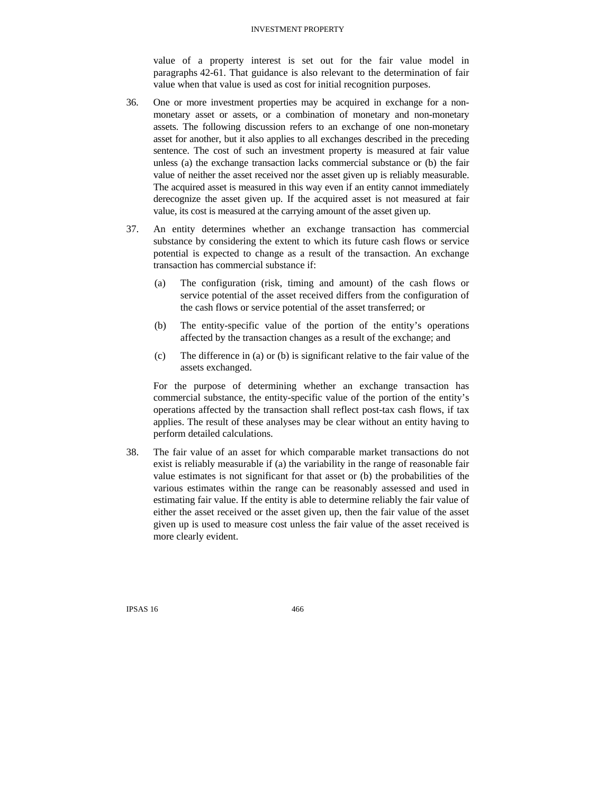#### INVESTMENT PROPERTY

value of a property interest is set out for the fair value model in paragraphs 42-61. That guidance is also relevant to the determination of fair value when that value is used as cost for initial recognition purposes.

- 36. One or more investment properties may be acquired in exchange for a nonmonetary asset or assets, or a combination of monetary and non-monetary assets. The following discussion refers to an exchange of one non-monetary asset for another, but it also applies to all exchanges described in the preceding sentence. The cost of such an investment property is measured at fair value unless (a) the exchange transaction lacks commercial substance or (b) the fair value of neither the asset received nor the asset given up is reliably measurable. The acquired asset is measured in this way even if an entity cannot immediately derecognize the asset given up. If the acquired asset is not measured at fair value, its cost is measured at the carrying amount of the asset given up.
- 37. An entity determines whether an exchange transaction has commercial substance by considering the extent to which its future cash flows or service potential is expected to change as a result of the transaction. An exchange transaction has commercial substance if:
	- (a) The configuration (risk, timing and amount) of the cash flows or service potential of the asset received differs from the configuration of the cash flows or service potential of the asset transferred; or
	- (b) The entity-specific value of the portion of the entity's operations affected by the transaction changes as a result of the exchange; and
	- (c) The difference in (a) or (b) is significant relative to the fair value of the assets exchanged.

For the purpose of determining whether an exchange transaction has commercial substance, the entity-specific value of the portion of the entity's operations affected by the transaction shall reflect post-tax cash flows, if tax applies. The result of these analyses may be clear without an entity having to perform detailed calculations.

38. The fair value of an asset for which comparable market transactions do not exist is reliably measurable if (a) the variability in the range of reasonable fair value estimates is not significant for that asset or (b) the probabilities of the various estimates within the range can be reasonably assessed and used in estimating fair value. If the entity is able to determine reliably the fair value of either the asset received or the asset given up, then the fair value of the asset given up is used to measure cost unless the fair value of the asset received is more clearly evident.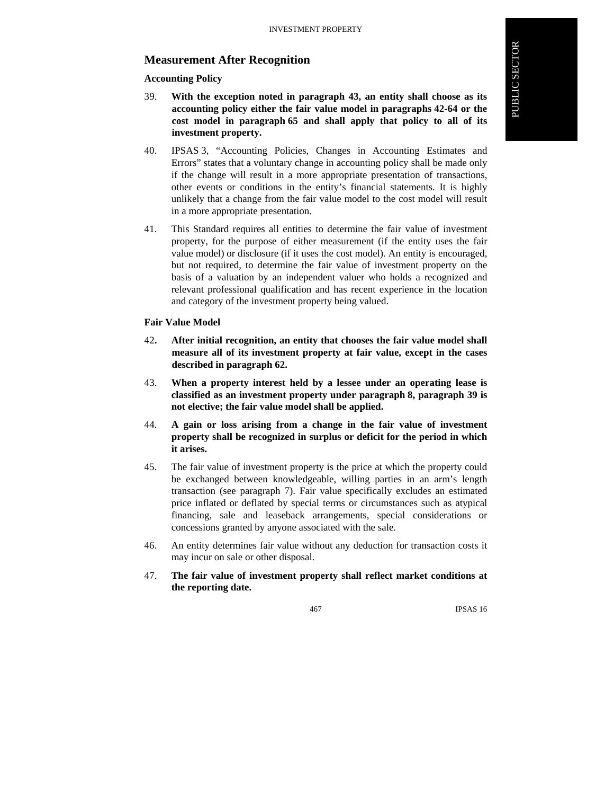### **Measurement After Recognition**

#### **Accounting Policy**

- 39. **With the exception noted in paragraph 43, an entity shall choose as its accounting policy either the fair value model in paragraphs 42-64 or the cost model in paragraph 65 and shall apply that policy to all of its investment property.**
- 40. IPSAS 3, "Accounting Policies, Changes in Accounting Estimates and Errors" states that a voluntary change in accounting policy shall be made only if the change will result in a more appropriate presentation of transactions, other events or conditions in the entity's financial statements. It is highly unlikely that a change from the fair value model to the cost model will result in a more appropriate presentation.
- 41. This Standard requires all entities to determine the fair value of investment property, for the purpose of either measurement (if the entity uses the fair value model) or disclosure (if it uses the cost model). An entity is encouraged, but not required, to determine the fair value of investment property on the basis of a valuation by an independent valuer who holds a recognized and relevant professional qualification and has recent experience in the location and category of the investment property being valued.

#### **Fair Value Model**

- 42**. After initial recognition, an entity that chooses the fair value model shall measure all of its investment property at fair value, except in the cases described in paragraph 62.**
- 43. **When a property interest held by a lessee under an operating lease is classified as an investment property under paragraph 8, paragraph 39 is not elective; the fair value model shall be applied.**
- 44. **A gain or loss arising from a change in the fair value of investment property shall be recognized in surplus or deficit for the period in which it arises.**
- 45. The fair value of investment property is the price at which the property could be exchanged between knowledgeable, willing parties in an arm's length transaction (see paragraph 7). Fair value specifically excludes an estimated price inflated or deflated by special terms or circumstances such as atypical financing, sale and leaseback arrangements, special considerations or concessions granted by anyone associated with the sale.
- 46. An entity determines fair value without any deduction for transaction costs it may incur on sale or other disposal.
- 47. **The fair value of investment property shall reflect market conditions at the reporting date.**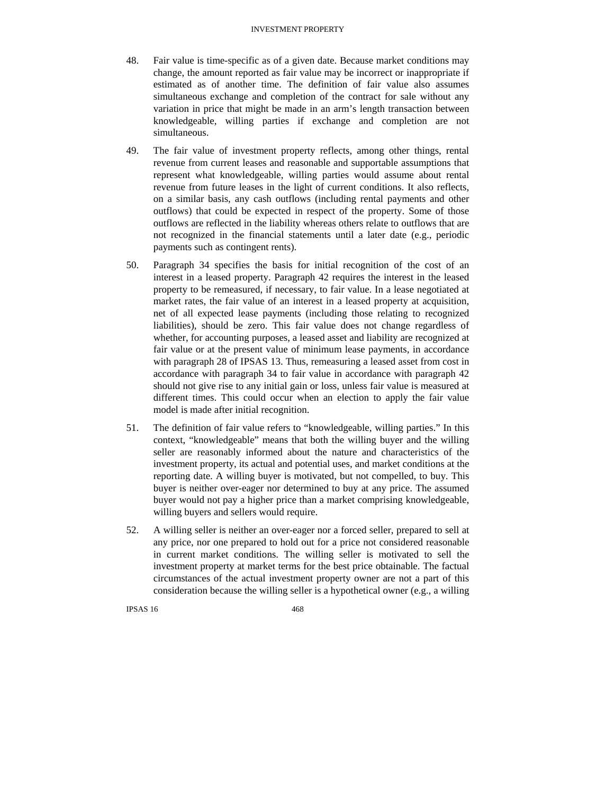- 48. Fair value is time-specific as of a given date. Because market conditions may change, the amount reported as fair value may be incorrect or inappropriate if estimated as of another time. The definition of fair value also assumes simultaneous exchange and completion of the contract for sale without any variation in price that might be made in an arm's length transaction between knowledgeable, willing parties if exchange and completion are not simultaneous.
- 49. The fair value of investment property reflects, among other things, rental revenue from current leases and reasonable and supportable assumptions that represent what knowledgeable, willing parties would assume about rental revenue from future leases in the light of current conditions. It also reflects, on a similar basis, any cash outflows (including rental payments and other outflows) that could be expected in respect of the property. Some of those outflows are reflected in the liability whereas others relate to outflows that are not recognized in the financial statements until a later date (e.g., periodic payments such as contingent rents).
- 50. Paragraph 34 specifies the basis for initial recognition of the cost of an interest in a leased property. Paragraph 42 requires the interest in the leased property to be remeasured, if necessary, to fair value. In a lease negotiated at market rates, the fair value of an interest in a leased property at acquisition, net of all expected lease payments (including those relating to recognized liabilities), should be zero. This fair value does not change regardless of whether, for accounting purposes, a leased asset and liability are recognized at fair value or at the present value of minimum lease payments, in accordance with paragraph 28 of IPSAS 13. Thus, remeasuring a leased asset from cost in accordance with paragraph 34 to fair value in accordance with paragraph 42 should not give rise to any initial gain or loss, unless fair value is measured at different times. This could occur when an election to apply the fair value model is made after initial recognition.
- 51. The definition of fair value refers to "knowledgeable, willing parties." In this context, "knowledgeable" means that both the willing buyer and the willing seller are reasonably informed about the nature and characteristics of the investment property, its actual and potential uses, and market conditions at the reporting date. A willing buyer is motivated, but not compelled, to buy. This buyer is neither over-eager nor determined to buy at any price. The assumed buyer would not pay a higher price than a market comprising knowledgeable, willing buyers and sellers would require.
- 52. A willing seller is neither an over-eager nor a forced seller, prepared to sell at any price, nor one prepared to hold out for a price not considered reasonable in current market conditions. The willing seller is motivated to sell the investment property at market terms for the best price obtainable. The factual circumstances of the actual investment property owner are not a part of this consideration because the willing seller is a hypothetical owner (e.g., a willing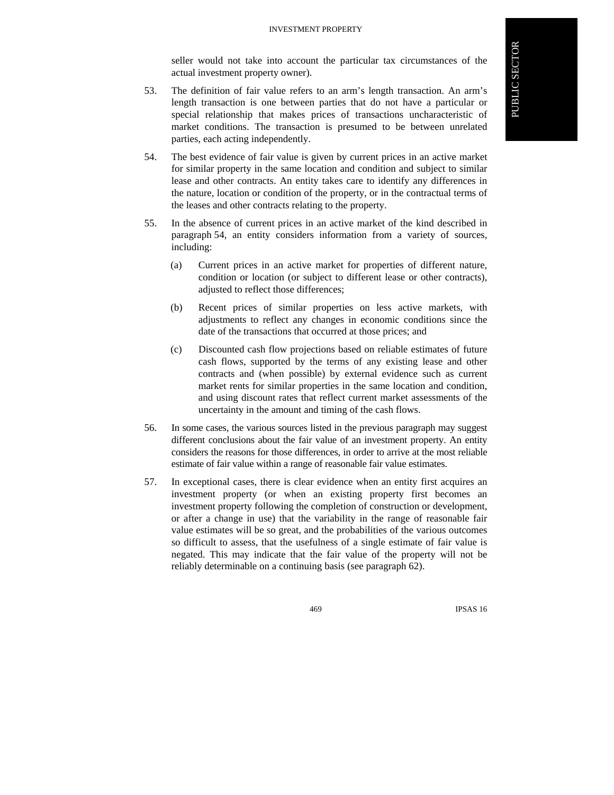seller would not take into account the particular tax circumstances of the actual investment property owner).

- 53. The definition of fair value refers to an arm's length transaction. An arm's length transaction is one between parties that do not have a particular or special relationship that makes prices of transactions uncharacteristic of market conditions. The transaction is presumed to be between unrelated parties, each acting independently.
- 54. The best evidence of fair value is given by current prices in an active market for similar property in the same location and condition and subject to similar lease and other contracts. An entity takes care to identify any differences in the nature, location or condition of the property, or in the contractual terms of the leases and other contracts relating to the property.
- 55. In the absence of current prices in an active market of the kind described in paragraph 54, an entity considers information from a variety of sources, including:
	- (a) Current prices in an active market for properties of different nature, condition or location (or subject to different lease or other contracts), adjusted to reflect those differences;
	- (b) Recent prices of similar properties on less active markets, with adjustments to reflect any changes in economic conditions since the date of the transactions that occurred at those prices; and
	- (c) Discounted cash flow projections based on reliable estimates of future cash flows, supported by the terms of any existing lease and other contracts and (when possible) by external evidence such as current market rents for similar properties in the same location and condition, and using discount rates that reflect current market assessments of the uncertainty in the amount and timing of the cash flows.
- 56. In some cases, the various sources listed in the previous paragraph may suggest different conclusions about the fair value of an investment property. An entity considers the reasons for those differences, in order to arrive at the most reliable estimate of fair value within a range of reasonable fair value estimates.
- 57. In exceptional cases, there is clear evidence when an entity first acquires an investment property (or when an existing property first becomes an investment property following the completion of construction or development, or after a change in use) that the variability in the range of reasonable fair value estimates will be so great, and the probabilities of the various outcomes so difficult to assess, that the usefulness of a single estimate of fair value is negated. This may indicate that the fair value of the property will not be reliably determinable on a continuing basis (see paragraph 62).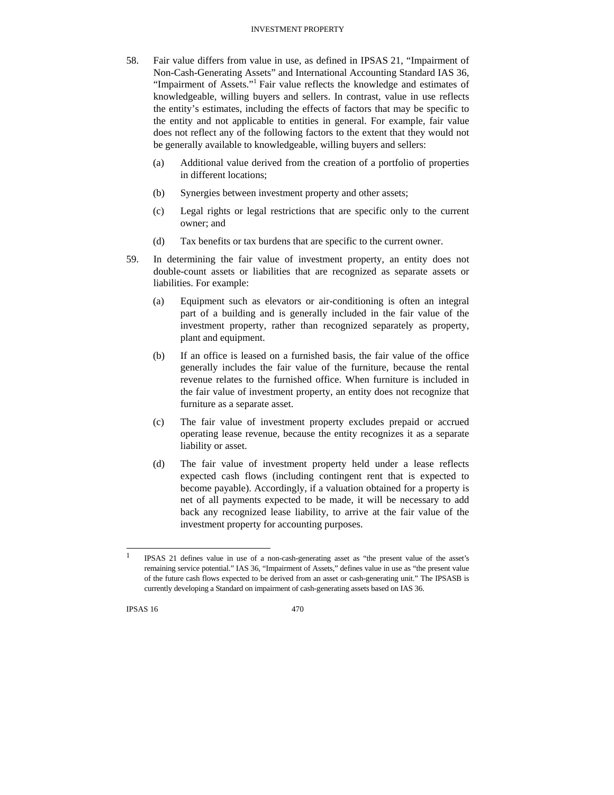- 58. Fair value differs from value in use, as defined in IPSAS 21, "Impairment of Non-Cash-Generating Assets" and International Accounting Standard IAS 36, "Impairment of Assets."<sup>1</sup> Fair value reflects the knowledge and estimates of knowledgeable, willing buyers and sellers. In contrast, value in use reflects the entity's estimates, including the effects of factors that may be specific to the entity and not applicable to entities in general. For example, fair value does not reflect any of the following factors to the extent that they would not be generally available to knowledgeable, willing buyers and sellers:
	- (a) Additional value derived from the creation of a portfolio of properties in different locations;
	- (b) Synergies between investment property and other assets;
	- (c) Legal rights or legal restrictions that are specific only to the current owner; and
	- (d) Tax benefits or tax burdens that are specific to the current owner.
- 59. In determining the fair value of investment property, an entity does not double-count assets or liabilities that are recognized as separate assets or liabilities. For example:
	- (a) Equipment such as elevators or air-conditioning is often an integral part of a building and is generally included in the fair value of the investment property, rather than recognized separately as property, plant and equipment.
	- (b) If an office is leased on a furnished basis, the fair value of the office generally includes the fair value of the furniture, because the rental revenue relates to the furnished office. When furniture is included in the fair value of investment property, an entity does not recognize that furniture as a separate asset.
	- (c) The fair value of investment property excludes prepaid or accrued operating lease revenue, because the entity recognizes it as a separate liability or asset.
	- (d) The fair value of investment property held under a lease reflects expected cash flows (including contingent rent that is expected to become payable). Accordingly, if a valuation obtained for a property is net of all payments expected to be made, it will be necessary to add back any recognized lease liability, to arrive at the fair value of the investment property for accounting purposes.

 $\mathbf{1}$ 1 IPSAS 21 defines value in use of a non-cash-generating asset as "the present value of the asset's remaining service potential." IAS 36, "Impairment of Assets," defines value in use as "the present value of the future cash flows expected to be derived from an asset or cash-generating unit." The IPSASB is currently developing a Standard on impairment of cash-generating assets based on IAS 36.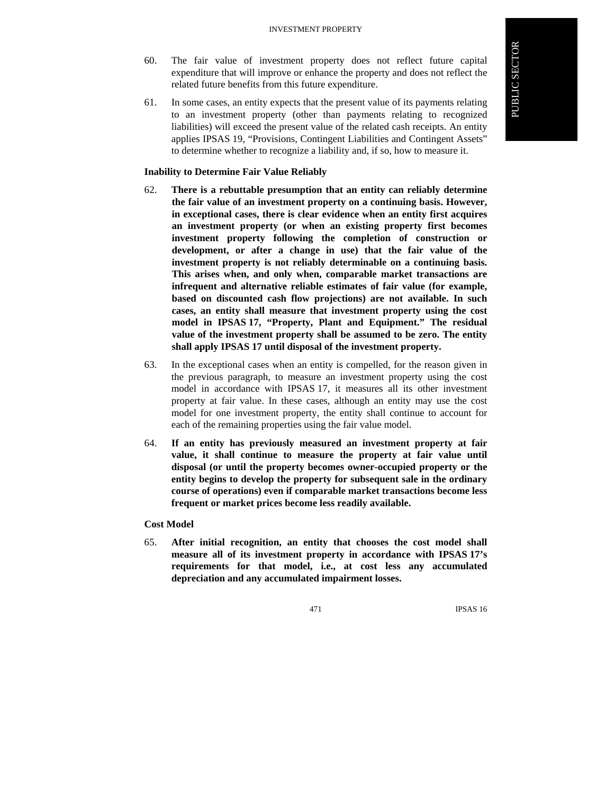- 60. The fair value of investment property does not reflect future capital expenditure that will improve or enhance the property and does not reflect the related future benefits from this future expenditure.
- 61. In some cases, an entity expects that the present value of its payments relating to an investment property (other than payments relating to recognized liabilities) will exceed the present value of the related cash receipts. An entity applies IPSAS 19, "Provisions, Contingent Liabilities and Contingent Assets" to determine whether to recognize a liability and, if so, how to measure it.

#### **Inability to Determine Fair Value Reliably**

- 62. **There is a rebuttable presumption that an entity can reliably determine the fair value of an investment property on a continuing basis. However, in exceptional cases, there is clear evidence when an entity first acquires an investment property (or when an existing property first becomes investment property following the completion of construction or development, or after a change in use) that the fair value of the investment property is not reliably determinable on a continuing basis. This arises when, and only when, comparable market transactions are infrequent and alternative reliable estimates of fair value (for example, based on discounted cash flow projections) are not available. In such cases, an entity shall measure that investment property using the cost model in IPSAS 17, "Property, Plant and Equipment." The residual value of the investment property shall be assumed to be zero. The entity shall apply IPSAS 17 until disposal of the investment property.**
- 63. In the exceptional cases when an entity is compelled, for the reason given in the previous paragraph, to measure an investment property using the cost model in accordance with IPSAS 17, it measures all its other investment property at fair value. In these cases, although an entity may use the cost model for one investment property, the entity shall continue to account for each of the remaining properties using the fair value model.
- 64. **If an entity has previously measured an investment property at fair value, it shall continue to measure the property at fair value until disposal (or until the property becomes owner-occupied property or the entity begins to develop the property for subsequent sale in the ordinary course of operations) even if comparable market transactions become less frequent or market prices become less readily available.**

#### **Cost Model**

65. **After initial recognition, an entity that chooses the cost model shall measure all of its investment property in accordance with IPSAS 17's requirements for that model, i.e., at cost less any accumulated depreciation and any accumulated impairment losses.** 

PUBLIC SECTOR

PUBLIC SECTOR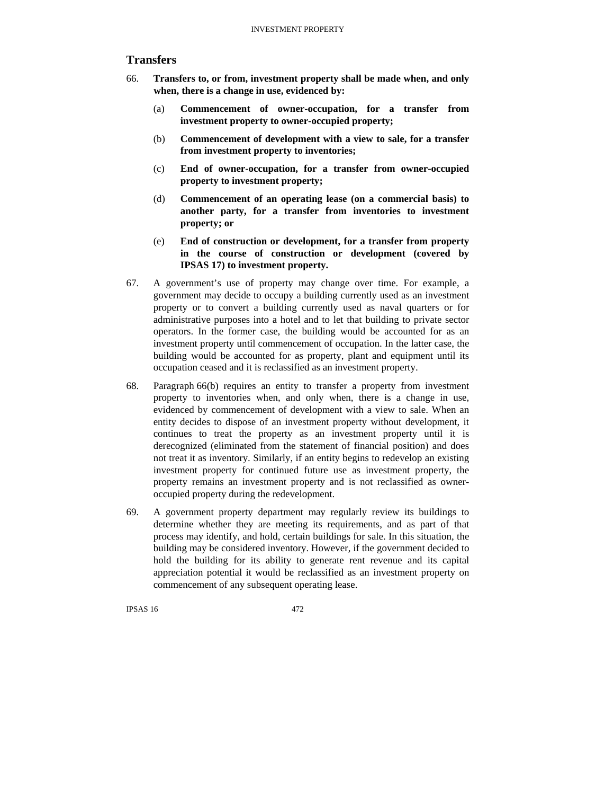### **Transfers**

- 66. **Transfers to, or from, investment property shall be made when, and only when, there is a change in use, evidenced by:** 
	- (a) **Commencement of owner-occupation, for a transfer from investment property to owner-occupied property;**
	- (b) **Commencement of development with a view to sale, for a transfer from investment property to inventories;**
	- (c) **End of owner-occupation, for a transfer from owner-occupied property to investment property;**
	- (d) **Commencement of an operating lease (on a commercial basis) to another party, for a transfer from inventories to investment property; or**
	- (e) **End of construction or development, for a transfer from property in the course of construction or development (covered by IPSAS 17) to investment property.**
- 67. A government's use of property may change over time. For example, a government may decide to occupy a building currently used as an investment property or to convert a building currently used as naval quarters or for administrative purposes into a hotel and to let that building to private sector operators. In the former case, the building would be accounted for as an investment property until commencement of occupation. In the latter case, the building would be accounted for as property, plant and equipment until its occupation ceased and it is reclassified as an investment property.
- 68. Paragraph 66(b) requires an entity to transfer a property from investment property to inventories when, and only when, there is a change in use, evidenced by commencement of development with a view to sale. When an entity decides to dispose of an investment property without development, it continues to treat the property as an investment property until it is derecognized (eliminated from the statement of financial position) and does not treat it as inventory. Similarly, if an entity begins to redevelop an existing investment property for continued future use as investment property, the property remains an investment property and is not reclassified as owneroccupied property during the redevelopment.
- 69. A government property department may regularly review its buildings to determine whether they are meeting its requirements, and as part of that process may identify, and hold, certain buildings for sale. In this situation, the building may be considered inventory. However, if the government decided to hold the building for its ability to generate rent revenue and its capital appreciation potential it would be reclassified as an investment property on commencement of any subsequent operating lease.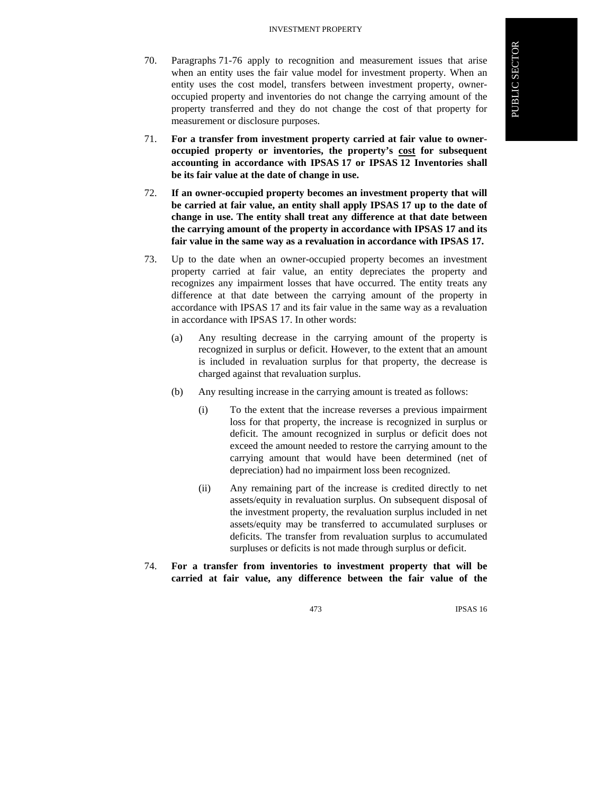- 70. Paragraphs 71-76 apply to recognition and measurement issues that arise when an entity uses the fair value model for investment property. When an entity uses the cost model, transfers between investment property, owneroccupied property and inventories do not change the carrying amount of the property transferred and they do not change the cost of that property for measurement or disclosure purposes.
- 71. **For a transfer from investment property carried at fair value to owneroccupied property or inventories, the property's cost for subsequent accounting in accordance with IPSAS 17 or IPSAS 12 Inventories shall be its fair value at the date of change in use.**
- 72. **If an owner-occupied property becomes an investment property that will be carried at fair value, an entity shall apply IPSAS 17 up to the date of change in use. The entity shall treat any difference at that date between the carrying amount of the property in accordance with IPSAS 17 and its fair value in the same way as a revaluation in accordance with IPSAS 17.**
- 73. Up to the date when an owner-occupied property becomes an investment property carried at fair value, an entity depreciates the property and recognizes any impairment losses that have occurred. The entity treats any difference at that date between the carrying amount of the property in accordance with IPSAS 17 and its fair value in the same way as a revaluation in accordance with IPSAS 17. In other words:
	- (a) Any resulting decrease in the carrying amount of the property is recognized in surplus or deficit. However, to the extent that an amount is included in revaluation surplus for that property, the decrease is charged against that revaluation surplus.
	- (b) Any resulting increase in the carrying amount is treated as follows:
		- (i) To the extent that the increase reverses a previous impairment loss for that property, the increase is recognized in surplus or deficit. The amount recognized in surplus or deficit does not exceed the amount needed to restore the carrying amount to the carrying amount that would have been determined (net of depreciation) had no impairment loss been recognized.
		- (ii) Any remaining part of the increase is credited directly to net assets/equity in revaluation surplus. On subsequent disposal of the investment property, the revaluation surplus included in net assets/equity may be transferred to accumulated surpluses or deficits. The transfer from revaluation surplus to accumulated surpluses or deficits is not made through surplus or deficit.
- 74. **For a transfer from inventories to investment property that will be carried at fair value, any difference between the fair value of the**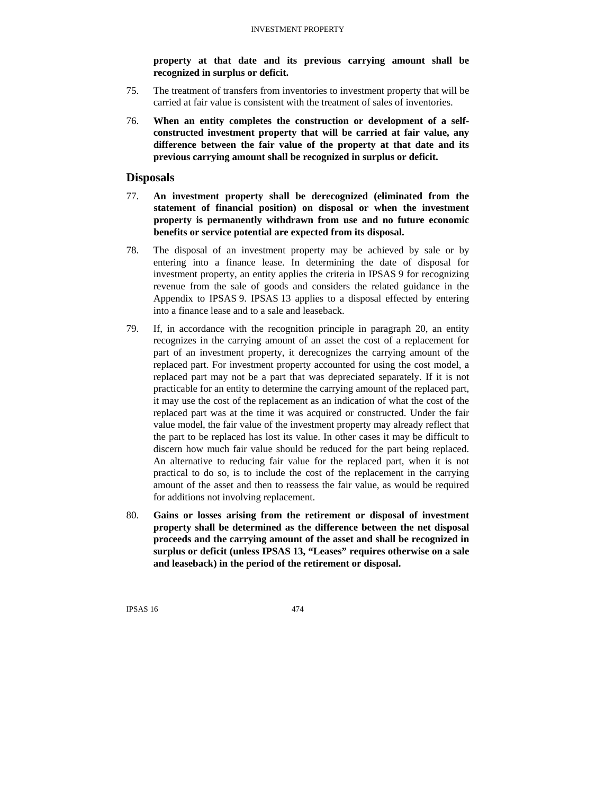**property at that date and its previous carrying amount shall be recognized in surplus or deficit.** 

- 75. The treatment of transfers from inventories to investment property that will be carried at fair value is consistent with the treatment of sales of inventories.
- 76. **When an entity completes the construction or development of a selfconstructed investment property that will be carried at fair value, any difference between the fair value of the property at that date and its previous carrying amount shall be recognized in surplus or deficit.**

#### **Disposals**

- 77. **An investment property shall be derecognized (eliminated from the statement of financial position) on disposal or when the investment property is permanently withdrawn from use and no future economic benefits or service potential are expected from its disposal.**
- 78. The disposal of an investment property may be achieved by sale or by entering into a finance lease. In determining the date of disposal for investment property, an entity applies the criteria in IPSAS 9 for recognizing revenue from the sale of goods and considers the related guidance in the Appendix to IPSAS 9. IPSAS 13 applies to a disposal effected by entering into a finance lease and to a sale and leaseback.
- 79. If, in accordance with the recognition principle in paragraph 20, an entity recognizes in the carrying amount of an asset the cost of a replacement for part of an investment property, it derecognizes the carrying amount of the replaced part. For investment property accounted for using the cost model, a replaced part may not be a part that was depreciated separately. If it is not practicable for an entity to determine the carrying amount of the replaced part, it may use the cost of the replacement as an indication of what the cost of the replaced part was at the time it was acquired or constructed. Under the fair value model, the fair value of the investment property may already reflect that the part to be replaced has lost its value. In other cases it may be difficult to discern how much fair value should be reduced for the part being replaced. An alternative to reducing fair value for the replaced part, when it is not practical to do so, is to include the cost of the replacement in the carrying amount of the asset and then to reassess the fair value, as would be required for additions not involving replacement.
- 80. **Gains or losses arising from the retirement or disposal of investment property shall be determined as the difference between the net disposal proceeds and the carrying amount of the asset and shall be recognized in surplus or deficit (unless IPSAS 13, "Leases" requires otherwise on a sale and leaseback) in the period of the retirement or disposal.**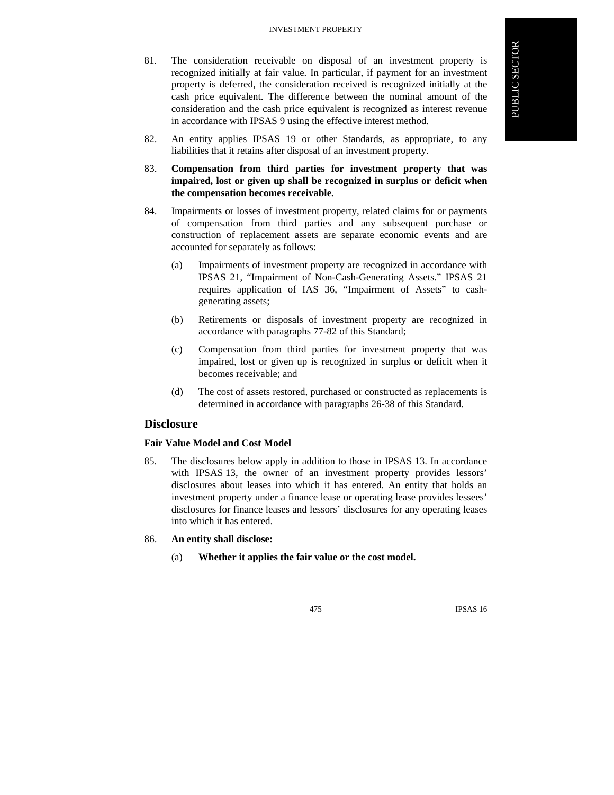- 81. The consideration receivable on disposal of an investment property is recognized initially at fair value. In particular, if payment for an investment property is deferred, the consideration received is recognized initially at the cash price equivalent. The difference between the nominal amount of the consideration and the cash price equivalent is recognized as interest revenue in accordance with IPSAS 9 using the effective interest method.
- 82. An entity applies IPSAS 19 or other Standards, as appropriate, to any liabilities that it retains after disposal of an investment property.
- 83. **Compensation from third parties for investment property that was impaired, lost or given up shall be recognized in surplus or deficit when the compensation becomes receivable.**
- 84. Impairments or losses of investment property, related claims for or payments of compensation from third parties and any subsequent purchase or construction of replacement assets are separate economic events and are accounted for separately as follows:
	- (a) Impairments of investment property are recognized in accordance with IPSAS 21, "Impairment of Non-Cash-Generating Assets." IPSAS 21 requires application of IAS 36, "Impairment of Assets" to cashgenerating assets;
	- (b) Retirements or disposals of investment property are recognized in accordance with paragraphs 77-82 of this Standard;
	- (c) Compensation from third parties for investment property that was impaired, lost or given up is recognized in surplus or deficit when it becomes receivable; and
	- (d) The cost of assets restored, purchased or constructed as replacements is determined in accordance with paragraphs 26-38 of this Standard.

## **Disclosure**

#### **Fair Value Model and Cost Model**

- 85. The disclosures below apply in addition to those in IPSAS 13. In accordance with IPSAS 13, the owner of an investment property provides lessors' disclosures about leases into which it has entered. An entity that holds an investment property under a finance lease or operating lease provides lessees' disclosures for finance leases and lessors' disclosures for any operating leases into which it has entered.
- 86. **An entity shall disclose:** 
	- (a) **Whether it applies the fair value or the cost model.**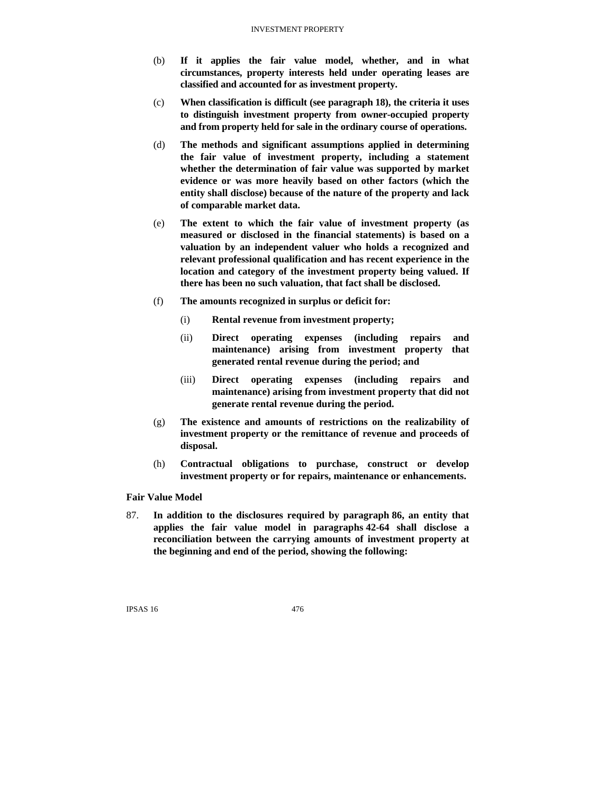- (b) **If it applies the fair value model, whether, and in what circumstances, property interests held under operating leases are classified and accounted for as investment property.**
- (c) **When classification is difficult (see paragraph 18), the criteria it uses to distinguish investment property from owner-occupied property and from property held for sale in the ordinary course of operations.**
- (d) **The methods and significant assumptions applied in determining the fair value of investment property, including a statement whether the determination of fair value was supported by market evidence or was more heavily based on other factors (which the entity shall disclose) because of the nature of the property and lack of comparable market data.**
- (e) **The extent to which the fair value of investment property (as measured or disclosed in the financial statements) is based on a valuation by an independent valuer who holds a recognized and relevant professional qualification and has recent experience in the location and category of the investment property being valued. If there has been no such valuation, that fact shall be disclosed.**
- (f) **The amounts recognized in surplus or deficit for:** 
	- (i) **Rental revenue from investment property;**
	- (ii) **Direct operating expenses (including repairs and maintenance) arising from investment property that generated rental revenue during the period; and**
	- (iii) **Direct operating expenses (including repairs and maintenance) arising from investment property that did not generate rental revenue during the period.**
- (g) **The existence and amounts of restrictions on the realizability of investment property or the remittance of revenue and proceeds of disposal.**
- (h) **Contractual obligations to purchase, construct or develop investment property or for repairs, maintenance or enhancements.**

#### **Fair Value Model**

87. **In addition to the disclosures required by paragraph 86, an entity that applies the fair value model in paragraphs 42-64 shall disclose a reconciliation between the carrying amounts of investment property at the beginning and end of the period, showing the following:**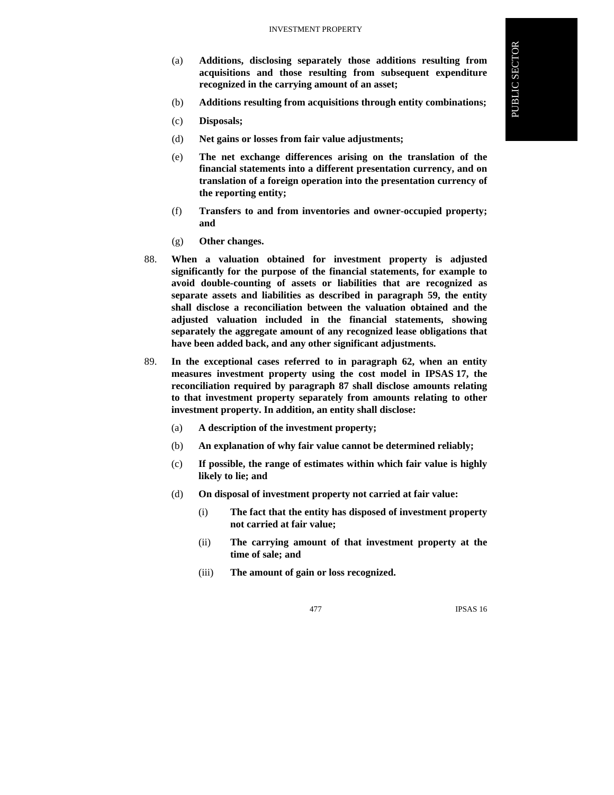- (a) **Additions, disclosing separately those additions resulting from acquisitions and those resulting from subsequent expenditure recognized in the carrying amount of an asset;**
- (b) **Additions resulting from acquisitions through entity combinations;**
- (c) **Disposals;**
- (d) **Net gains or losses from fair value adjustments;**
- (e) **The net exchange differences arising on the translation of the financial statements into a different presentation currency, and on translation of a foreign operation into the presentation currency of the reporting entity;**
- (f) **Transfers to and from inventories and owner-occupied property; and**
- (g) **Other changes.**
- 88. **When a valuation obtained for investment property is adjusted significantly for the purpose of the financial statements, for example to avoid double-counting of assets or liabilities that are recognized as separate assets and liabilities as described in paragraph 59, the entity shall disclose a reconciliation between the valuation obtained and the adjusted valuation included in the financial statements, showing separately the aggregate amount of any recognized lease obligations that have been added back, and any other significant adjustments.**
- 89. **In the exceptional cases referred to in paragraph 62, when an entity measures investment property using the cost model in IPSAS 17, the reconciliation required by paragraph 87 shall disclose amounts relating to that investment property separately from amounts relating to other investment property. In addition, an entity shall disclose:** 
	- (a) **A description of the investment property;**
	- (b) **An explanation of why fair value cannot be determined reliably;**
	- (c) **If possible, the range of estimates within which fair value is highly likely to lie; and**
	- (d) **On disposal of investment property not carried at fair value:** 
		- (i) **The fact that the entity has disposed of investment property not carried at fair value;**
		- (ii) **The carrying amount of that investment property at the time of sale; and**
		- (iii) **The amount of gain or loss recognized.**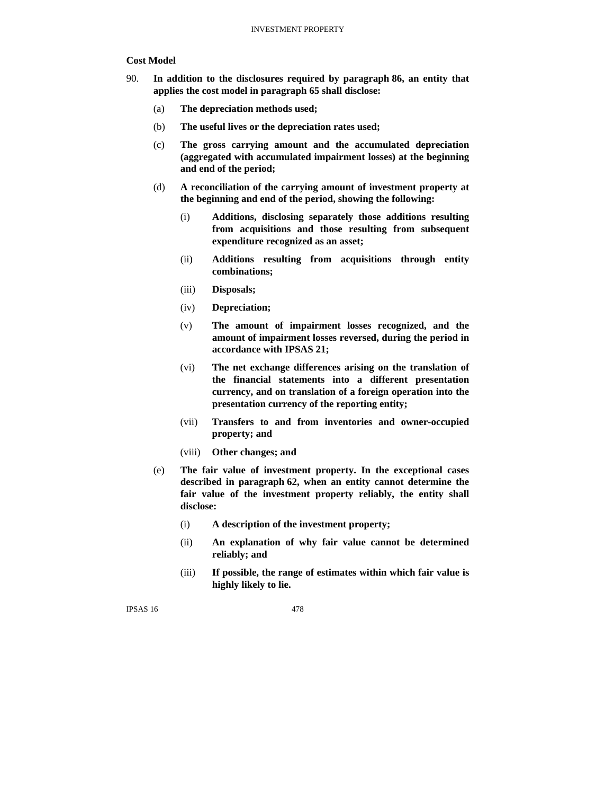#### **Cost Model**

- 90. **In addition to the disclosures required by paragraph 86, an entity that applies the cost model in paragraph 65 shall disclose:** 
	- (a) **The depreciation methods used;**
	- (b) **The useful lives or the depreciation rates used;**
	- (c) **The gross carrying amount and the accumulated depreciation (aggregated with accumulated impairment losses) at the beginning and end of the period;**
	- (d) **A reconciliation of the carrying amount of investment property at the beginning and end of the period, showing the following:** 
		- (i) **Additions, disclosing separately those additions resulting from acquisitions and those resulting from subsequent expenditure recognized as an asset;**
		- (ii) **Additions resulting from acquisitions through entity combinations;**
		- (iii) **Disposals;**
		- (iv) **Depreciation;**
		- (v) **The amount of impairment losses recognized, and the amount of impairment losses reversed, during the period in accordance with IPSAS 21;**
		- (vi) **The net exchange differences arising on the translation of the financial statements into a different presentation currency, and on translation of a foreign operation into the presentation currency of the reporting entity;**
		- (vii) **Transfers to and from inventories and owner-occupied property; and**
		- (viii) **Other changes; and**
	- (e) **The fair value of investment property. In the exceptional cases described in paragraph 62, when an entity cannot determine the fair value of the investment property reliably, the entity shall disclose:** 
		- (i) **A description of the investment property;**
		- (ii) **An explanation of why fair value cannot be determined reliably; and**
		- (iii) **If possible, the range of estimates within which fair value is highly likely to lie.**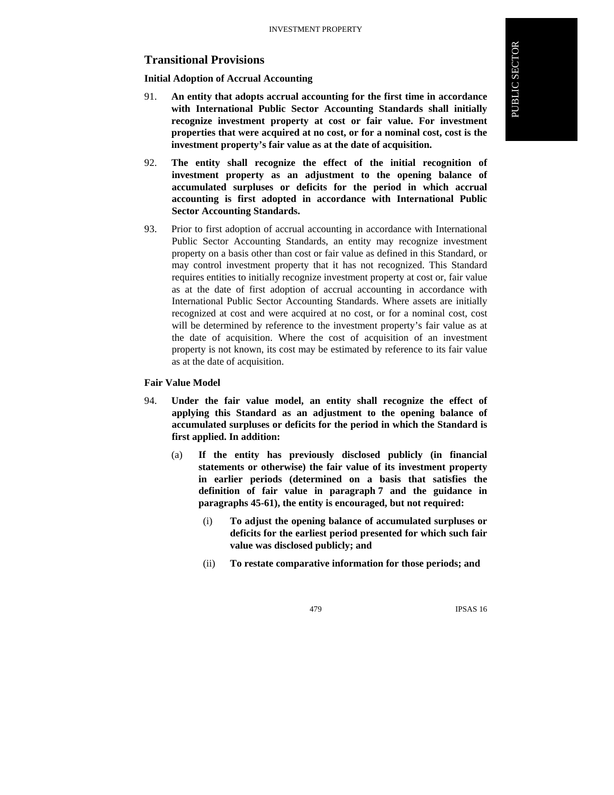### **Transitional Provisions**

**Initial Adoption of Accrual Accounting** 

- 91. **An entity that adopts accrual accounting for the first time in accordance with International Public Sector Accounting Standards shall initially recognize investment property at cost or fair value. For investment properties that were acquired at no cost, or for a nominal cost, cost is the investment property's fair value as at the date of acquisition.**
- 92. **The entity shall recognize the effect of the initial recognition of investment property as an adjustment to the opening balance of accumulated surpluses or deficits for the period in which accrual accounting is first adopted in accordance with International Public Sector Accounting Standards.**
- 93. Prior to first adoption of accrual accounting in accordance with International Public Sector Accounting Standards, an entity may recognize investment property on a basis other than cost or fair value as defined in this Standard, or may control investment property that it has not recognized. This Standard requires entities to initially recognize investment property at cost or, fair value as at the date of first adoption of accrual accounting in accordance with International Public Sector Accounting Standards. Where assets are initially recognized at cost and were acquired at no cost, or for a nominal cost, cost will be determined by reference to the investment property's fair value as at the date of acquisition. Where the cost of acquisition of an investment property is not known, its cost may be estimated by reference to its fair value as at the date of acquisition.

#### **Fair Value Model**

- 94. **Under the fair value model, an entity shall recognize the effect of applying this Standard as an adjustment to the opening balance of accumulated surpluses or deficits for the period in which the Standard is first applied. In addition:** 
	- (a) **If the entity has previously disclosed publicly (in financial statements or otherwise) the fair value of its investment property in earlier periods (determined on a basis that satisfies the definition of fair value in paragraph 7 and the guidance in paragraphs 45-61), the entity is encouraged, but not required:** 
		- (i) **To adjust the opening balance of accumulated surpluses or deficits for the earliest period presented for which such fair value was disclosed publicly; and**
		- (ii) **To restate comparative information for those periods; and**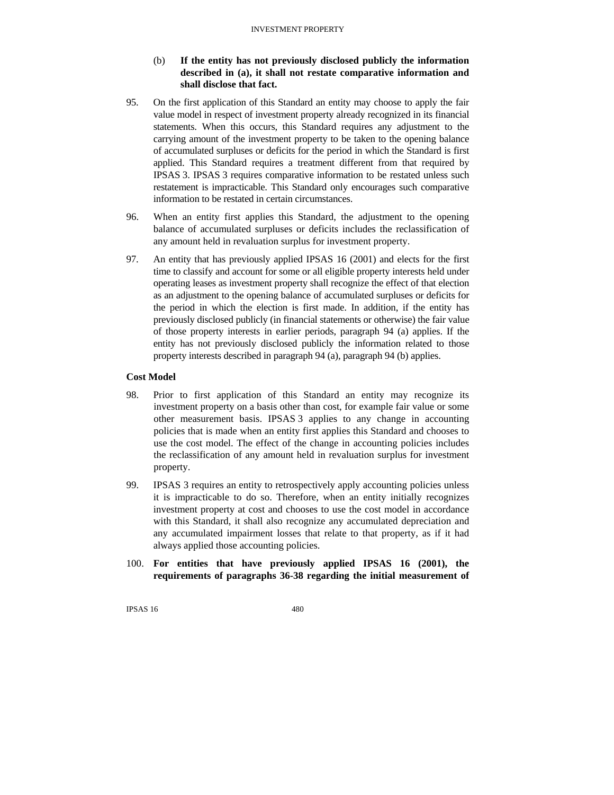### (b) **If the entity has not previously disclosed publicly the information described in (a), it shall not restate comparative information and shall disclose that fact.**

- 95. On the first application of this Standard an entity may choose to apply the fair value model in respect of investment property already recognized in its financial statements. When this occurs, this Standard requires any adjustment to the carrying amount of the investment property to be taken to the opening balance of accumulated surpluses or deficits for the period in which the Standard is first applied. This Standard requires a treatment different from that required by IPSAS 3. IPSAS 3 requires comparative information to be restated unless such restatement is impracticable. This Standard only encourages such comparative information to be restated in certain circumstances.
- 96. When an entity first applies this Standard, the adjustment to the opening balance of accumulated surpluses or deficits includes the reclassification of any amount held in revaluation surplus for investment property.
- 97. An entity that has previously applied IPSAS 16 (2001) and elects for the first time to classify and account for some or all eligible property interests held under operating leases as investment property shall recognize the effect of that election as an adjustment to the opening balance of accumulated surpluses or deficits for the period in which the election is first made. In addition, if the entity has previously disclosed publicly (in financial statements or otherwise) the fair value of those property interests in earlier periods, paragraph 94 (a) applies. If the entity has not previously disclosed publicly the information related to those property interests described in paragraph 94 (a), paragraph 94 (b) applies.

#### **Cost Model**

- 98. Prior to first application of this Standard an entity may recognize its investment property on a basis other than cost, for example fair value or some other measurement basis. IPSAS 3 applies to any change in accounting policies that is made when an entity first applies this Standard and chooses to use the cost model. The effect of the change in accounting policies includes the reclassification of any amount held in revaluation surplus for investment property.
- 99. IPSAS 3 requires an entity to retrospectively apply accounting policies unless it is impracticable to do so. Therefore, when an entity initially recognizes investment property at cost and chooses to use the cost model in accordance with this Standard, it shall also recognize any accumulated depreciation and any accumulated impairment losses that relate to that property, as if it had always applied those accounting policies.
- 100. **For entities that have previously applied IPSAS 16 (2001), the requirements of paragraphs 36-38 regarding the initial measurement of**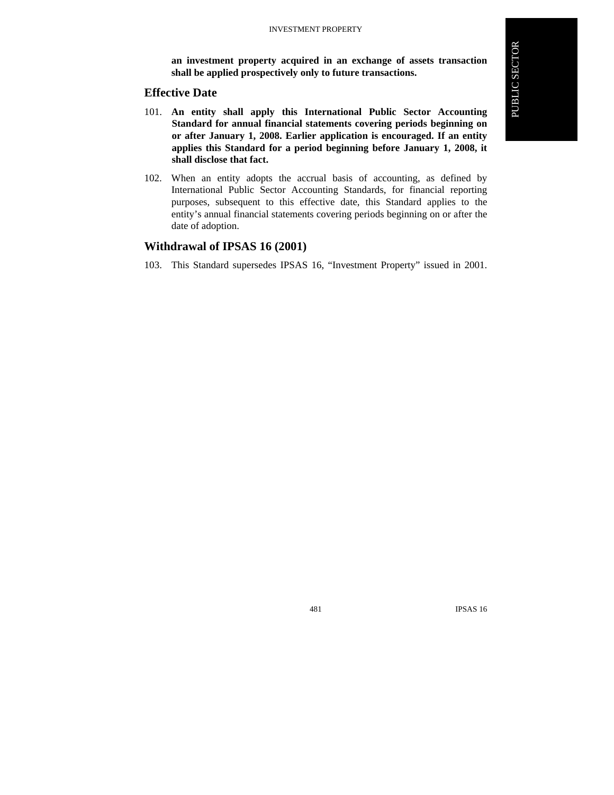**an investment property acquired in an exchange of assets transaction shall be applied prospectively only to future transactions.** 

### **Effective Date**

- 101. **An entity shall apply this International Public Sector Accounting Standard for annual financial statements covering periods beginning on or after January 1, 2008. Earlier application is encouraged. If an entity applies this Standard for a period beginning before January 1, 2008, it shall disclose that fact.**
- 102. When an entity adopts the accrual basis of accounting, as defined by International Public Sector Accounting Standards, for financial reporting purposes, subsequent to this effective date, this Standard applies to the entity's annual financial statements covering periods beginning on or after the date of adoption.

#### **Withdrawal of IPSAS 16 (2001)**

103. This Standard supersedes IPSAS 16, "Investment Property" issued in 2001.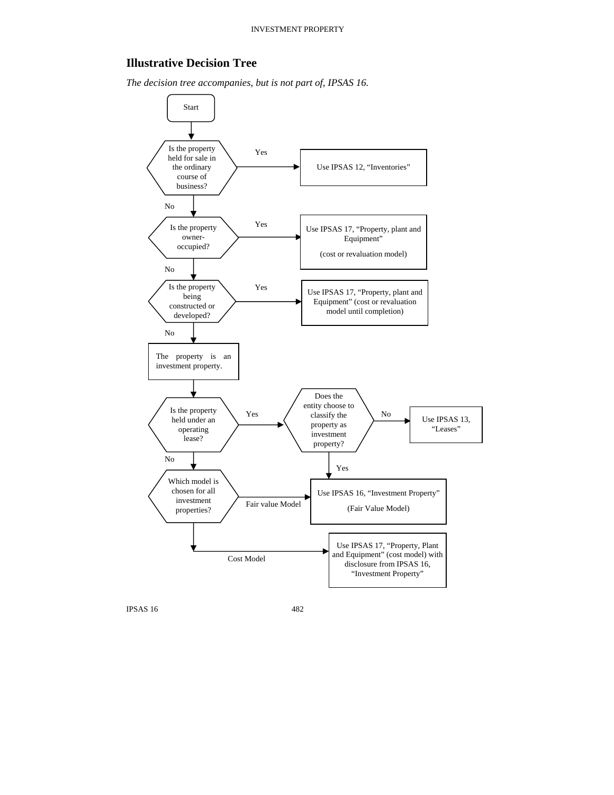## **Illustrative Decision Tree**

*The decision tree accompanies, but is not part of, IPSAS 16.* 

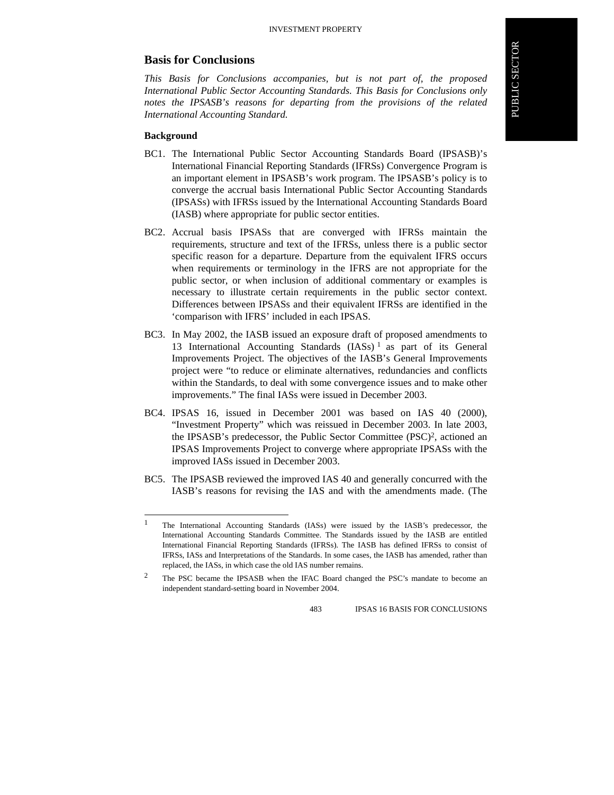### **Basis for Conclusions**

*This Basis for Conclusions accompanies, but is not part of, the proposed International Public Sector Accounting Standards. This Basis for Conclusions only notes the IPSASB's reasons for departing from the provisions of the related International Accounting Standard.* 

#### **Background**

- BC1. The International Public Sector Accounting Standards Board (IPSASB)'s International Financial Reporting Standards (IFRSs) Convergence Program is an important element in IPSASB's work program. The IPSASB's policy is to converge the accrual basis International Public Sector Accounting Standards (IPSASs) with IFRSs issued by the International Accounting Standards Board (IASB) where appropriate for public sector entities.
- BC2. Accrual basis IPSASs that are converged with IFRSs maintain the requirements, structure and text of the IFRSs, unless there is a public sector specific reason for a departure. Departure from the equivalent IFRS occurs when requirements or terminology in the IFRS are not appropriate for the public sector, or when inclusion of additional commentary or examples is necessary to illustrate certain requirements in the public sector context. Differences between IPSASs and their equivalent IFRSs are identified in the 'comparison with IFRS' included in each IPSAS.
- BC3. In May 2002, the IASB issued an exposure draft of proposed amendments to 13 International Accounting Standards (IASs) 1 as part of its General Improvements Project. The objectives of the IASB's General Improvements project were "to reduce or eliminate alternatives, redundancies and conflicts within the Standards, to deal with some convergence issues and to make other improvements." The final IASs were issued in December 2003.
- BC4. IPSAS 16, issued in December 2001 was based on IAS 40 (2000), "Investment Property" which was reissued in December 2003. In late 2003, the IPSASB's predecessor, the Public Sector Committee (PSC)2, actioned an IPSAS Improvements Project to converge where appropriate IPSASs with the improved IASs issued in December 2003.
- BC5. The IPSASB reviewed the improved IAS 40 and generally concurred with the IASB's reasons for revising the IAS and with the amendments made. (The

 $\mathbf{1}$ 1 The International Accounting Standards (IASs) were issued by the IASB's predecessor, the International Accounting Standards Committee. The Standards issued by the IASB are entitled International Financial Reporting Standards (IFRSs). The IASB has defined IFRSs to consist of IFRSs, IASs and Interpretations of the Standards. In some cases, the IASB has amended, rather than replaced, the IASs, in which case the old IAS number remains.

<sup>&</sup>lt;sup>2</sup> The PSC became the IPSASB when the IFAC Board changed the PSC's mandate to become an independent standard-setting board in November 2004.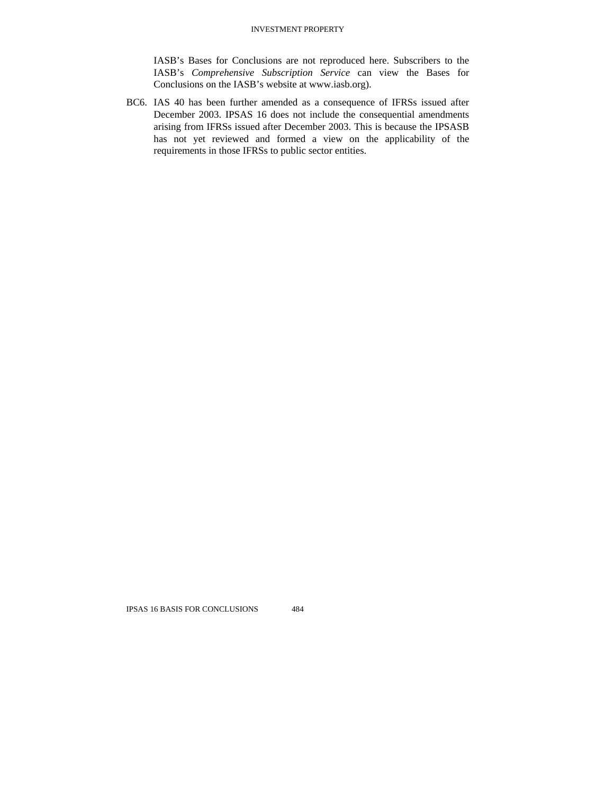IASB's Bases for Conclusions are not reproduced here. Subscribers to the IASB's *Comprehensive Subscription Service* can view the Bases for Conclusions on the IASB's website at www.iasb.org).

BC6. IAS 40 has been further amended as a consequence of IFRSs issued after December 2003. IPSAS 16 does not include the consequential amendments arising from IFRSs issued after December 2003. This is because the IPSASB has not yet reviewed and formed a view on the applicability of the requirements in those IFRSs to public sector entities.